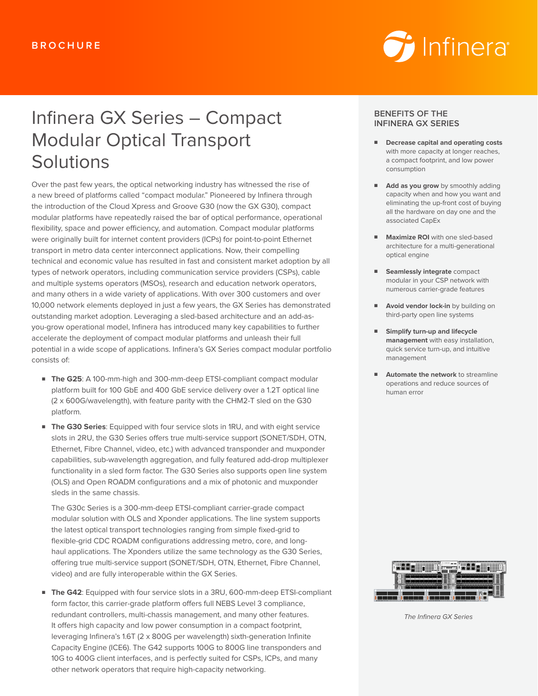

# Infinera GX Series – Compact Modular Optical Transport **Solutions**

Over the past few years, the optical networking industry has witnessed the rise of a new breed of platforms called "compact modular." Pioneered by Infinera through the introduction of the Cloud Xpress and Groove G30 (now the GX G30), compact modular platforms have repeatedly raised the bar of optical performance, operational flexibility, space and power efficiency, and automation. Compact modular platforms were originally built for internet content providers (ICPs) for point-to-point Ethernet transport in metro data center interconnect applications. Now, their compelling technical and economic value has resulted in fast and consistent market adoption by all types of network operators, including communication service providers (CSPs), cable and multiple systems operators (MSOs), research and education network operators, and many others in a wide variety of applications. With over 300 customers and over 10,000 network elements deployed in just a few years, the GX Series has demonstrated outstanding market adoption. Leveraging a sled-based architecture and an add-asyou-grow operational model, Infinera has introduced many key capabilities to further accelerate the deployment of compact modular platforms and unleash their full potential in a wide scope of applications. Infinera's GX Series compact modular portfolio consists of:

- **The G25**: A 100-mm-high and 300-mm-deep ETSI-compliant compact modular platform built for 100 GbE and 400 GbE service delivery over a 1.2T optical line (2 x 600G/wavelength), with feature parity with the CHM2-T sled on the G30 platform.
- **The G30 Series:** Equipped with four service slots in 1RU, and with eight service slots in 2RU, the G30 Series offers true multi-service support (SONET/SDH, OTN, Ethernet, Fibre Channel, video, etc.) with advanced transponder and muxponder capabilities, sub-wavelength aggregation, and fully featured add-drop multiplexer functionality in a sled form factor. The G30 Series also supports open line system (OLS) and Open ROADM configurations and a mix of photonic and muxponder sleds in the same chassis.

The G30c Series is a 300-mm-deep ETSI-compliant carrier-grade compact modular solution with OLS and Xponder applications. The line system supports the latest optical transport technologies ranging from simple fixed-grid to flexible-grid CDC ROADM configurations addressing metro, core, and longhaul applications. The Xponders utilize the same technology as the G30 Series, offering true multi-service support (SONET/SDH, OTN, Ethernet, Fibre Channel, video) and are fully interoperable within the GX Series.

■ **The G42**: Equipped with four service slots in a 3RU, 600-mm-deep ETSI-compliant form factor, this carrier-grade platform offers full NEBS Level 3 compliance, redundant controllers, multi-chassis management, and many other features. It offers high capacity and low power consumption in a compact footprint, leveraging Infinera's 1.6T (2 x 800G per wavelength) sixth-generation Infinite Capacity Engine (ICE6). The G42 supports 100G to 800G line transponders and 10G to 400G client interfaces, and is perfectly suited for CSPs, ICPs, and many other network operators that require high-capacity networking.

#### **BENEFITS OF THE INFINERA GX SERIES**

- **Decrease capital and operating costs** with more capacity at longer reaches, a compact footprint, and low power consumption
- **Add as you grow** by smoothly adding capacity when and how you want and eliminating the up-front cost of buying all the hardware on day one and the associated CapEx
- **Maximize ROI** with one sled-based architecture for a multi-generational optical engine
- **Seamlessly integrate** compact modular in your CSP network with numerous carrier-grade features
- **Avoid vendor lock-in** by building on third-party open line systems
- **Simplify turn-up and lifecycle management** with easy installation, quick service turn-up, and intuitive management
- **Automate the network** to streamline operations and reduce sources of human error



The Infinera GX Series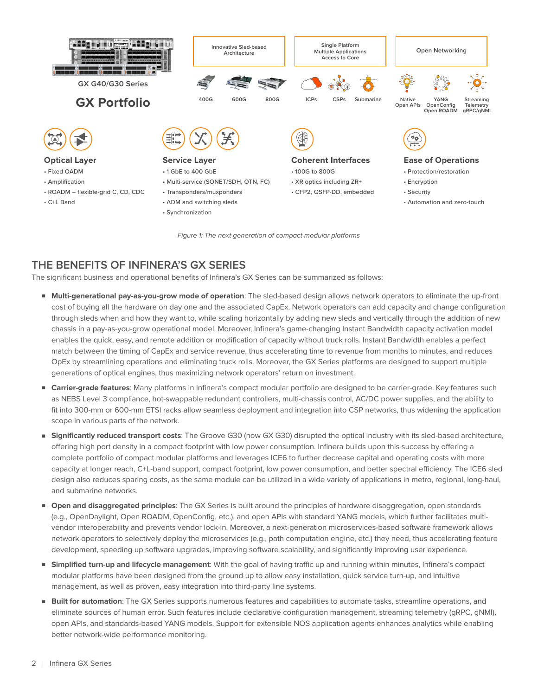

Figure 1: The next generation of compact modular platforms

# **THE BENEFITS OF INFINERA'S GX SERIES**

The significant business and operational benefits of Infinera's GX Series can be summarized as follows:

- **Multi-generational pay-as-you-grow mode of operation**: The sled-based design allows network operators to eliminate the up-front cost of buying all the hardware on day one and the associated CapEx. Network operators can add capacity and change configuration through sleds when and how they want to, while scaling horizontally by adding new sleds and vertically through the addition of new chassis in a pay-as-you-grow operational model. Moreover, Infinera's game-changing Instant Bandwidth capacity activation model enables the quick, easy, and remote addition or modification of capacity without truck rolls. Instant Bandwidth enables a perfect match between the timing of CapEx and service revenue, thus accelerating time to revenue from months to minutes, and reduces OpEx by streamlining operations and eliminating truck rolls. Moreover, the GX Series platforms are designed to support multiple generations of optical engines, thus maximizing network operators' return on investment.
- **Carrier-grade features**: Many platforms in Infinera's compact modular portfolio are designed to be carrier-grade. Key features such as NEBS Level 3 compliance, hot-swappable redundant controllers, multi-chassis control, AC/DC power supplies, and the ability to fit into 300-mm or 600-mm ETSI racks allow seamless deployment and integration into CSP networks, thus widening the application scope in various parts of the network.
- **Significantly reduced transport costs**: The Groove G30 (now GX G30) disrupted the optical industry with its sled-based architecture, offering high port density in a compact footprint with low power consumption. Infinera builds upon this success by offering a complete portfolio of compact modular platforms and leverages ICE6 to further decrease capital and operating costs with more capacity at longer reach, C+L-band support, compact footprint, low power consumption, and better spectral efficiency. The ICE6 sled design also reduces sparing costs, as the same module can be utilized in a wide variety of applications in metro, regional, long-haul, and submarine networks.
- **Open and disaggregated principles**: The GX Series is built around the principles of hardware disaggregation, open standards (e.g., OpenDaylight, Open ROADM, OpenConfig, etc.), and open APIs with standard YANG models, which further facilitates multivendor interoperability and prevents vendor lock-in. Moreover, a next-generation microservices-based software framework allows network operators to selectively deploy the microservices (e.g., path computation engine, etc.) they need, thus accelerating feature development, speeding up software upgrades, improving software scalability, and significantly improving user experience.
- **Simplified turn-up and lifecycle management**: With the goal of having traffic up and running within minutes, Infinera's compact modular platforms have been designed from the ground up to allow easy installation, quick service turn-up, and intuitive management, as well as proven, easy integration into third-party line systems.
- **Built for automation**: The GX Series supports numerous features and capabilities to automate tasks, streamline operations, and eliminate sources of human error. Such features include declarative configuration management, streaming telemetry (gRPC, gNMI), open APIs, and standards-based YANG models. Support for extensible NOS application agents enhances analytics while enabling better network-wide performance monitoring.